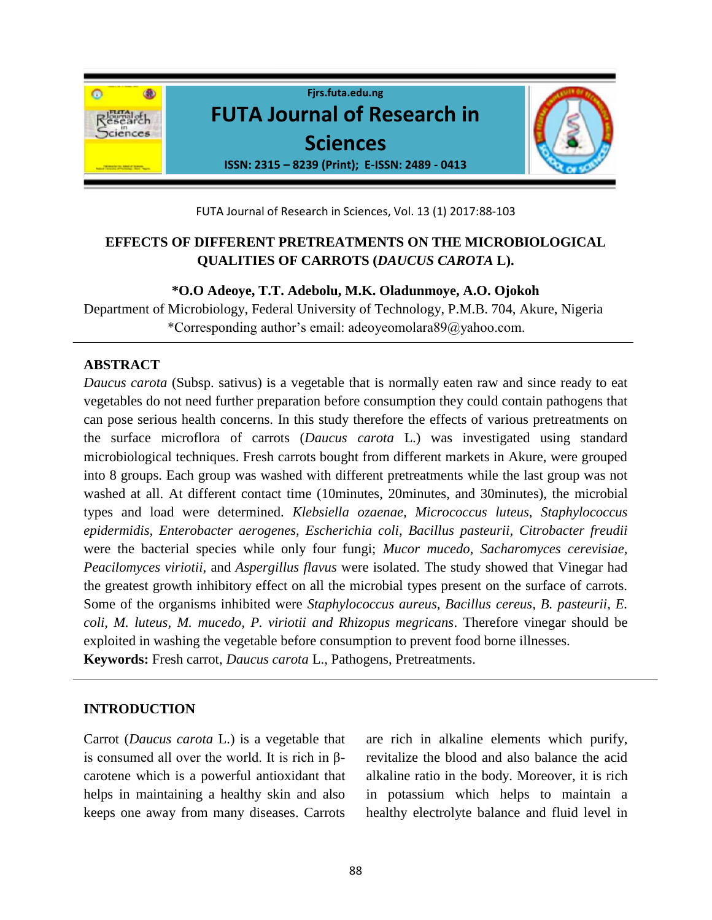

FUTA Journal of Research in Sciences, Vol. 13 (1) 2017:88-103

# **EFFECTS OF DIFFERENT PRETREATMENTS ON THE MICROBIOLOGICAL QUALITIES OF CARROTS (***DAUCUS CAROTA* **L).**

### **\*O.O Adeoye, T.T. Adebolu, M.K. Oladunmoye, A.O. Ojokoh**

Department of Microbiology, Federal University of Technology, P.M.B. 704, Akure, Nigeria \*Corresponding author's email: adeoyeomolara89@yahoo.com.

# **ABSTRACT**

*Daucus carota* (Subsp. sativus) is a vegetable that is normally eaten raw and since ready to eat vegetables do not need further preparation before consumption they could contain pathogens that can pose serious health concerns. In this study therefore the effects of various pretreatments on the surface microflora of carrots (*Daucus carota* L.) was investigated using standard microbiological techniques. Fresh carrots bought from different markets in Akure, were grouped into 8 groups. Each group was washed with different pretreatments while the last group was not washed at all. At different contact time (10minutes, 20minutes, and 30minutes), the microbial types and load were determined. *Klebsiella ozaenae, Micrococcus luteus, Staphylococcus epidermidis, Enterobacter aerogenes, Escherichia coli, Bacillus pasteurii, Citrobacter freudii*  were the bacterial species while only four fungi; *Mucor mucedo, Sacharomyces cerevisiae, Peacilomyces viriotii,* and *Aspergillus flavus* were isolated. The study showed that Vinegar had the greatest growth inhibitory effect on all the microbial types present on the surface of carrots. Some of the organisms inhibited were *Staphylococcus aureus, Bacillus cereus, B. pasteurii, E. coli, M. luteus, M. mucedo, P. viriotii and Rhizopus megricans*. Therefore vinegar should be exploited in washing the vegetable before consumption to prevent food borne illnesses. **Keywords:** Fresh carrot, *Daucus carota* L., Pathogens, Pretreatments.

## **INTRODUCTION**

Carrot (*Daucus carota* L.) is a vegetable that is consumed all over the world. It is rich in βcarotene which is a powerful antioxidant that helps in maintaining a healthy skin and also keeps one away from many diseases. Carrots

are rich in alkaline elements which purify, revitalize the blood and also balance the acid alkaline ratio in the body. Moreover, it is rich in potassium which helps to maintain a healthy electrolyte balance and fluid level in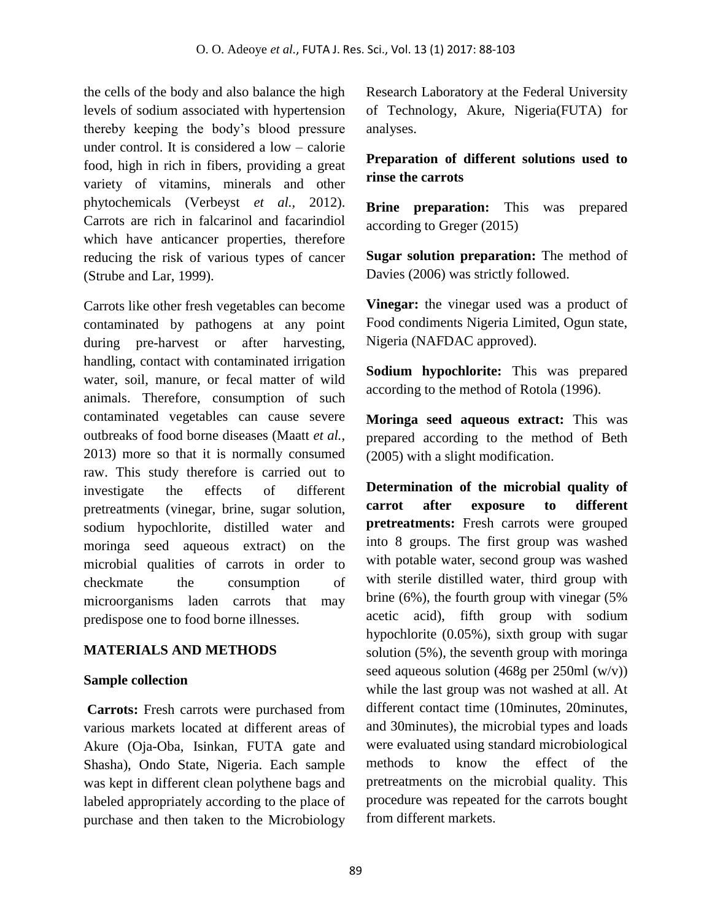the cells of the body and also balance the high levels of sodium associated with hypertension thereby keeping the body's blood pressure under control. It is considered a low – calorie food, high in rich in fibers, providing a great variety of vitamins, minerals and other phytochemicals (Verbeyst *et al.,* 2012). Carrots are rich in falcarinol and facarindiol which have anticancer properties, therefore reducing the risk of various types of cancer (Strube and Lar, 1999).

Carrots like other fresh vegetables can become contaminated by pathogens at any point during pre-harvest or after harvesting, handling, contact with contaminated irrigation water, soil, manure, or fecal matter of wild animals. Therefore, consumption of such contaminated vegetables can cause severe outbreaks of food borne diseases (Maatt *et al.*, 2013) more so that it is normally consumed raw. This study therefore is carried out to investigate the effects of different pretreatments (vinegar, brine, sugar solution, sodium hypochlorite, distilled water and moringa seed aqueous extract) on the microbial qualities of carrots in order to checkmate the consumption of microorganisms laden carrots that may predispose one to food borne illnesses*.*

# **MATERIALS AND METHODS**

## **Sample collection**

**Carrots:** Fresh carrots were purchased from various markets located at different areas of Akure (Oja-Oba, Isinkan, FUTA gate and Shasha), Ondo State, Nigeria. Each sample was kept in different clean polythene bags and labeled appropriately according to the place of purchase and then taken to the Microbiology Research Laboratory at the Federal University of Technology, Akure, Nigeria(FUTA) for analyses.

# **Preparation of different solutions used to rinse the carrots**

**Brine preparation:** This was prepared according to Greger (2015)

**Sugar solution preparation:** The method of Davies (2006) was strictly followed.

**Vinegar:** the vinegar used was a product of Food condiments Nigeria Limited, Ogun state, Nigeria (NAFDAC approved).

**Sodium hypochlorite:** This was prepared according to the method of Rotola (1996).

**Moringa seed aqueous extract:** This was prepared according to the method of Beth (2005) with a slight modification.

**Determination of the microbial quality of carrot after exposure to different pretreatments:** Fresh carrots were grouped into 8 groups. The first group was washed with potable water, second group was washed with sterile distilled water, third group with brine (6%), the fourth group with vinegar (5% acetic acid), fifth group with sodium hypochlorite (0.05%), sixth group with sugar solution (5%), the seventh group with moringa seed aqueous solution (468g per 250ml (w/v)) while the last group was not washed at all. At different contact time (10minutes, 20minutes, and 30minutes), the microbial types and loads were evaluated using standard microbiological methods to know the effect of the pretreatments on the microbial quality. This procedure was repeated for the carrots bought from different markets.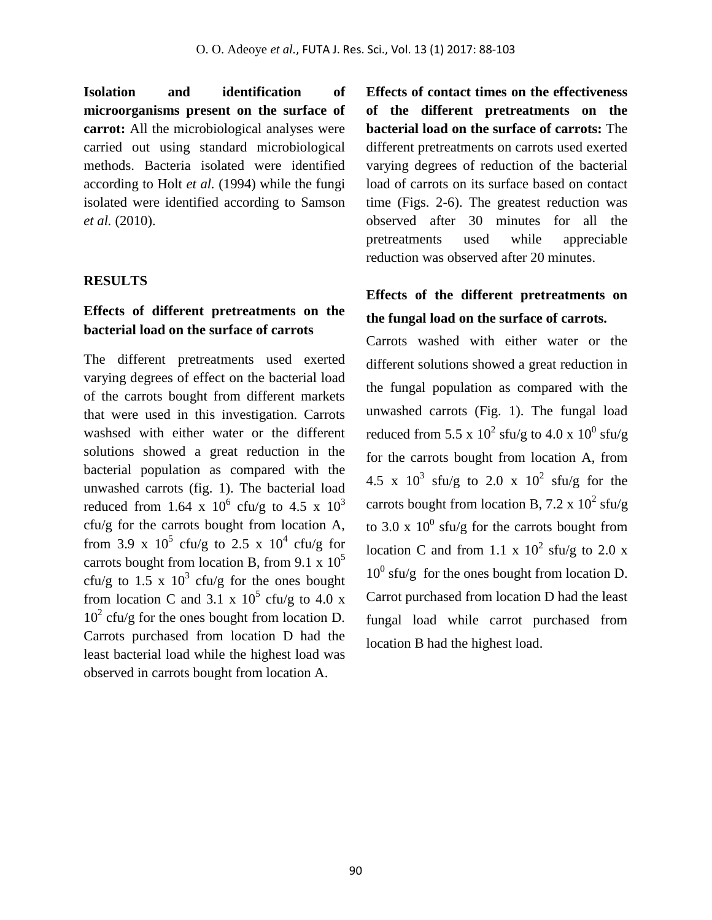**Isolation and identification of microorganisms present on the surface of carrot:** All the microbiological analyses were carried out using standard microbiological methods. Bacteria isolated were identified according to Holt *et al.* (1994) while the fungi isolated were identified according to Samson *et al.* (2010).

### **RESULTS**

# **Effects of different pretreatments on the bacterial load on the surface of carrots**

The different pretreatments used exerted varying degrees of effect on the bacterial load of the carrots bought from different markets that were used in this investigation. Carrots washsed with either water or the different solutions showed a great reduction in the bacterial population as compared with the unwashed carrots (fig. 1). The bacterial load reduced from 1.64 x  $10^6$  cfu/g to 4.5 x  $10^3$  $c f u/g$  for the carrots bought from location A, from 3.9 x  $10^5$  cfu/g to 2.5 x  $10^4$  cfu/g for carrots bought from location B, from 9.1 x  $10^5$ cfu/g to 1.5 x  $10^3$  cfu/g for the ones bought from location C and 3.1 x  $10^5$  cfu/g to 4.0 x  $10<sup>2</sup>$  cfu/g for the ones bought from location D. Carrots purchased from location D had the least bacterial load while the highest load was observed in carrots bought from location A.

**Effects of contact times on the effectiveness of the different pretreatments on the bacterial load on the surface of carrots:** The different pretreatments on carrots used exerted varying degrees of reduction of the bacterial load of carrots on its surface based on contact time (Figs. 2-6). The greatest reduction was observed after 30 minutes for all the pretreatments used while appreciable reduction was observed after 20 minutes.

# **Effects of the different pretreatments on the fungal load on the surface of carrots.**

Carrots washed with either water or the different solutions showed a great reduction in the fungal population as compared with the unwashed carrots (Fig. 1). The fungal load reduced from 5.5 x  $10^2$  sfu/g to 4.0 x  $10^0$  sfu/g for the carrots bought from location A, from 4.5 x  $10^3$  sfu/g to 2.0 x  $10^2$  sfu/g for the carrots bought from location B, 7.2 x  $10^2$  sfu/g to 3.0 x  $10^0$  sfu/g for the carrots bought from location C and from 1.1 x  $10^2$  sfu/g to 2.0 x  $10^0$  sfu/g for the ones bought from location D. Carrot purchased from location D had the least fungal load while carrot purchased from location B had the highest load.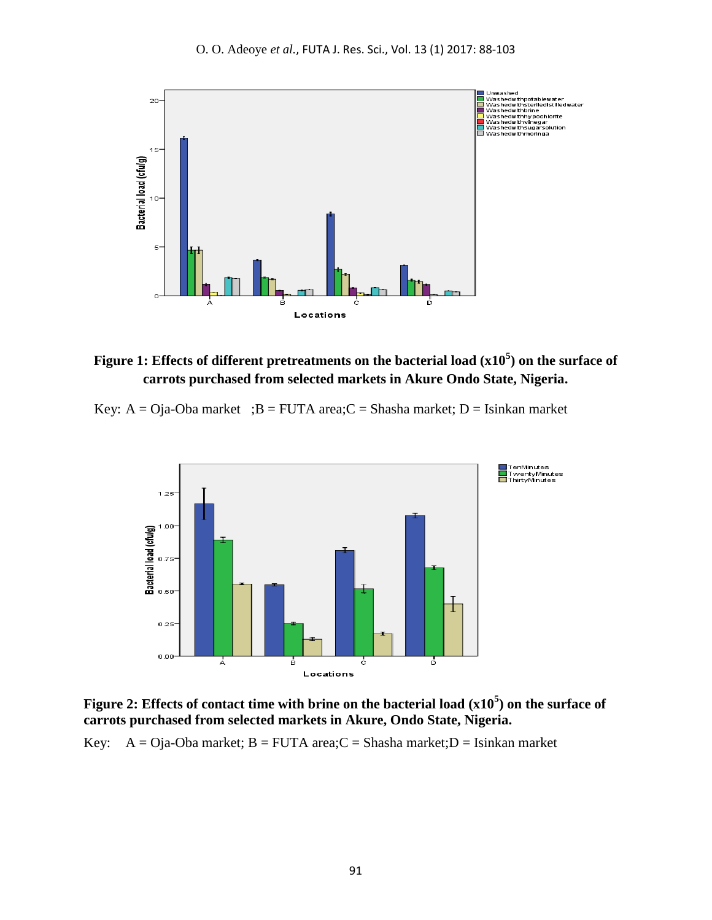

**Figure 1: Effects of different pretreatments on the bacterial load (x10<sup>5</sup> ) on the surface of carrots purchased from selected markets in Akure Ondo State, Nigeria.** 

Key:  $A = Oja-Oba$  market ;  $B = FUTA$  area; $C = Shasha$  market;  $D = Isinkan$  market



**Figure 2: Effects of contact time with brine on the bacterial load (x10<sup>5</sup> ) on the surface of carrots purchased from selected markets in Akure, Ondo State, Nigeria.** 

Key:  $A = Oja-Oba$  market;  $B = FUTA$  area; $C = Shasha$  market; $D = Isinkan$  market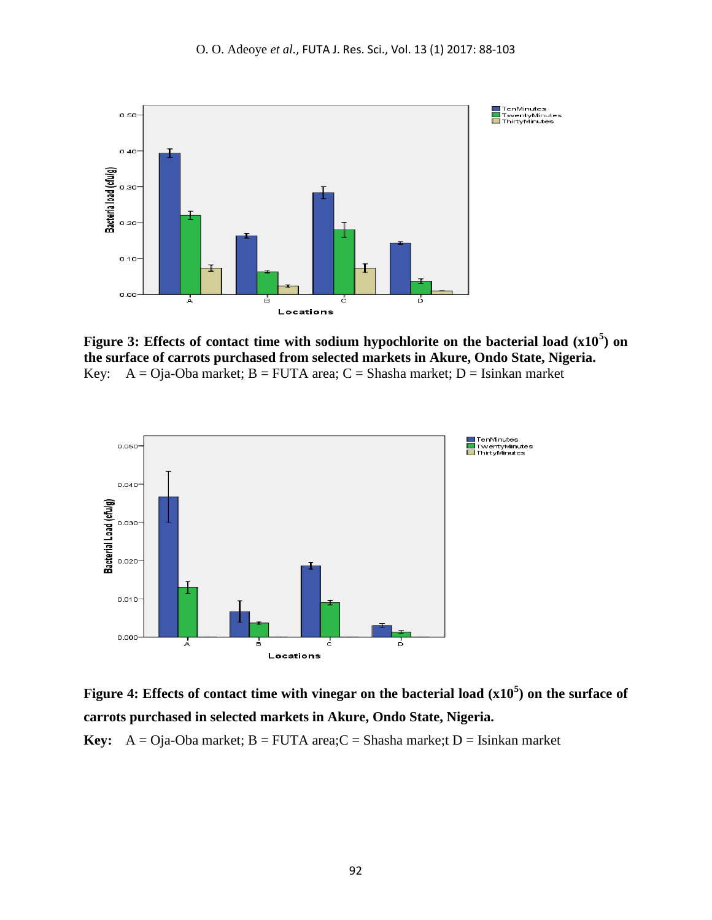

**Figure 3: Effects of contact time with sodium hypochlorite on the bacterial load (x10<sup>5</sup> ) on the surface of carrots purchased from selected markets in Akure, Ondo State, Nigeria.** Key:  $A = Oja-Oba$  market;  $B = FUTA$  area;  $C = Shasha$  market;  $D = Isinkan$  market



**Figure 4: Effects of contact time with vinegar on the bacterial load (x10<sup>5</sup> ) on the surface of carrots purchased in selected markets in Akure, Ondo State, Nigeria.**

**Key:**  $A = O$ ja-Oba market;  $B = FUTA$  area;  $C = Shasha$  marke;  $D = Isinkan$  market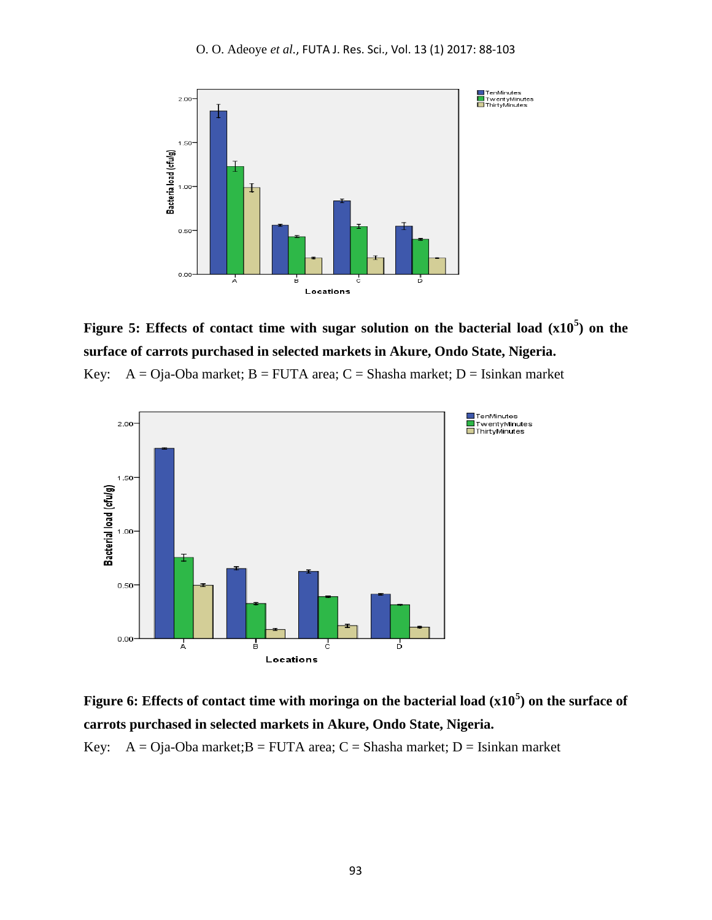

# **Figure 5: Effects of contact time with sugar solution on the bacterial load (x10<sup>5</sup> ) on the surface of carrots purchased in selected markets in Akure, Ondo State, Nigeria.**

Key:  $A = Oja-Oba$  market;  $B = FUTA$  area;  $C = Shasha$  market;  $D = Isinkan$  market



# **Figure 6: Effects of contact time with moringa on the bacterial load (x10<sup>5</sup> ) on the surface of carrots purchased in selected markets in Akure, Ondo State, Nigeria.**

Key:  $A = O$ ja-Oba market; $B = FUTA$  area;  $C = Shasha$  market;  $D = Isinkan$  market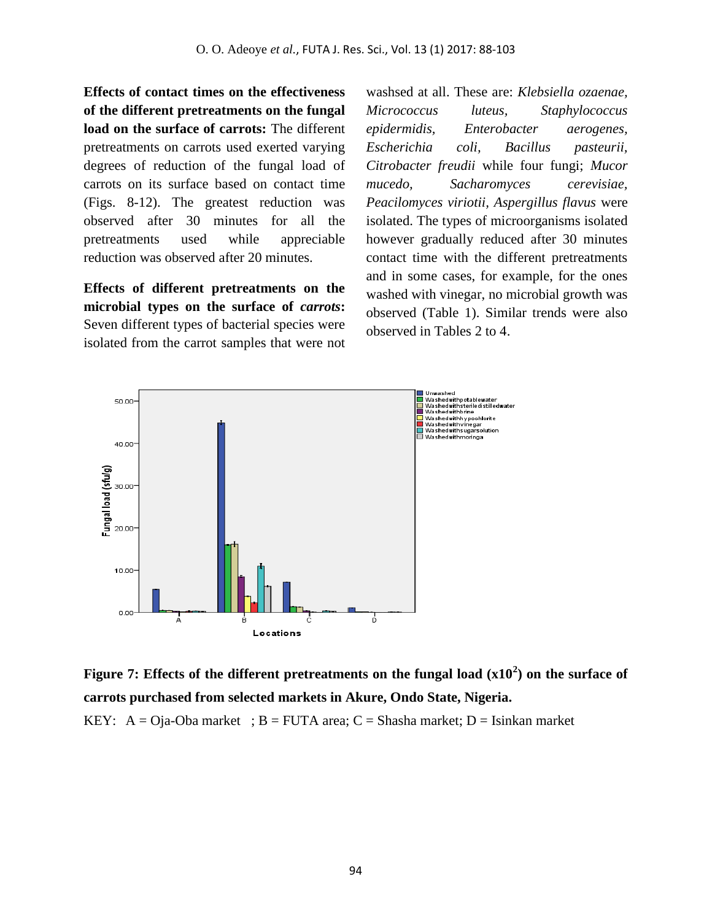**Effects of contact times on the effectiveness of the different pretreatments on the fungal load on the surface of carrots:** The different pretreatments on carrots used exerted varying degrees of reduction of the fungal load of carrots on its surface based on contact time (Figs. 8-12). The greatest reduction was observed after 30 minutes for all the pretreatments used while appreciable reduction was observed after 20 minutes.

**Effects of different pretreatments on the microbial types on the surface of** *carrots***:**  Seven different types of bacterial species were isolated from the carrot samples that were not washsed at all. These are: *Klebsiella ozaenae, Micrococcus luteus, Staphylococcus epidermidis, Enterobacter aerogenes, Escherichia coli, Bacillus pasteurii, Citrobacter freudii* while four fungi; *Mucor mucedo, Sacharomyces cerevisiae, Peacilomyces viriotii, Aspergillus flavus* were isolated. The types of microorganisms isolated however gradually reduced after 30 minutes contact time with the different pretreatments and in some cases, for example, for the ones washed with vinegar, no microbial growth was observed (Table 1). Similar trends were also observed in Tables 2 to 4.



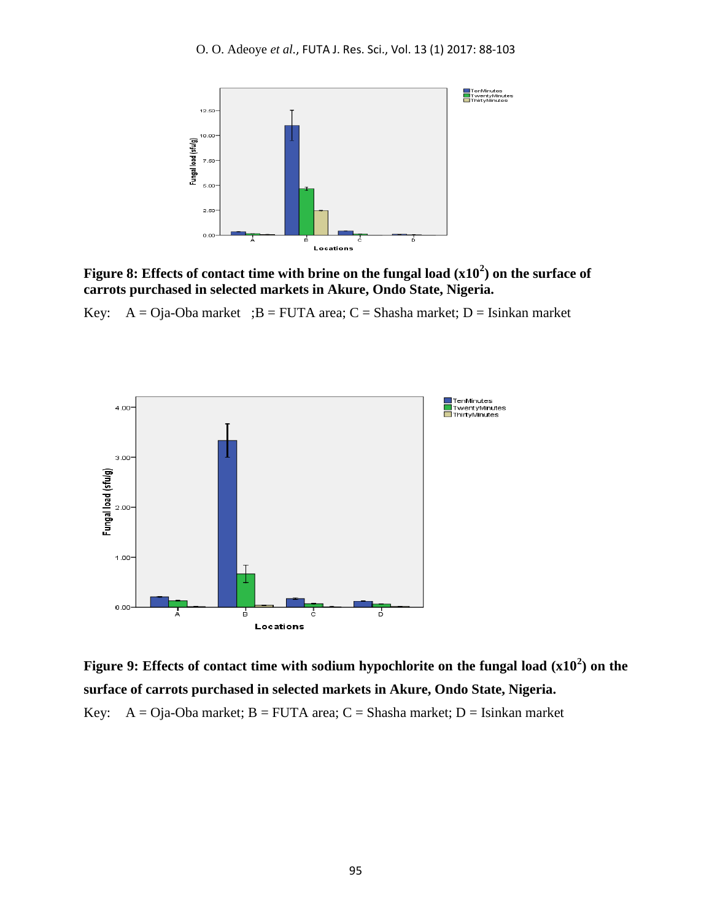

**Figure 8: Effects of contact time with brine on the fungal load (x10<sup>2</sup> ) on the surface of carrots purchased in selected markets in Akure, Ondo State, Nigeria.**

Key:  $A = O$ ja-Oba market ; B = FUTA area; C = Shasha market; D = Isinkan market



**Figure 9: Effects of contact time with sodium hypochlorite on the fungal load (x10<sup>2</sup> ) on the surface of carrots purchased in selected markets in Akure, Ondo State, Nigeria.** Key:  $A = Oja-Oba$  market;  $B = FUTA$  area;  $C = Shasha$  market;  $D = Isinkan$  market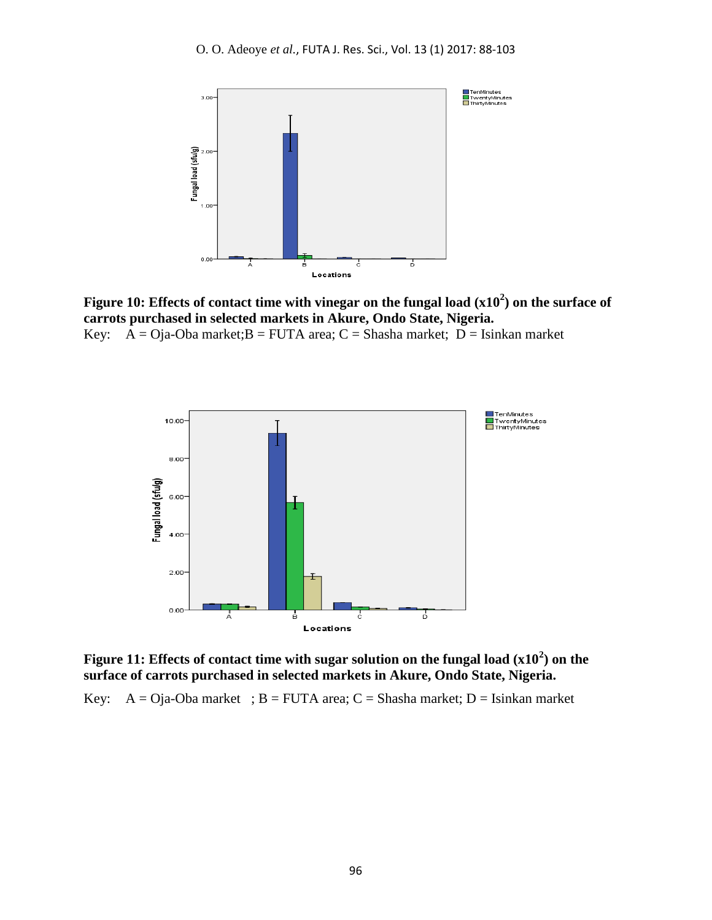

**Figure 10: Effects of contact time with vinegar on the fungal load (x10<sup>2</sup> ) on the surface of carrots purchased in selected markets in Akure, Ondo State, Nigeria.** Key:  $\overline{A} = O$ ja-Oba market; $B = FUTA$  area;  $C = Shasha$  market;  $D = Isinkan$  market



**Figure 11: Effects of contact time with sugar solution on the fungal load (x10<sup>2</sup> ) on the surface of carrots purchased in selected markets in Akure, Ondo State, Nigeria.**

Key:  $A = O$ ja-Oba market ; B = FUTA area; C = Shasha market; D = Isinkan market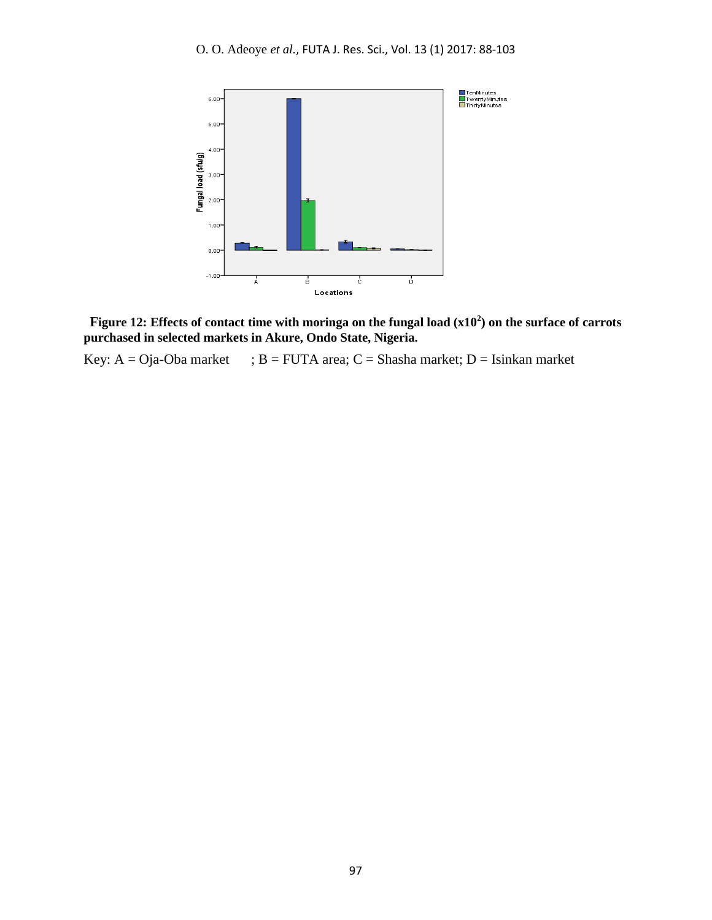

**Figure 12: Effects of contact time with moringa on the fungal load (x10<sup>2</sup> ) on the surface of carrots purchased in selected markets in Akure, Ondo State, Nigeria.**

Key:  $A = Oja-Oba$  market ;  $B = FUTA$  area;  $C = Shasha$  market;  $D = Isinkan$  market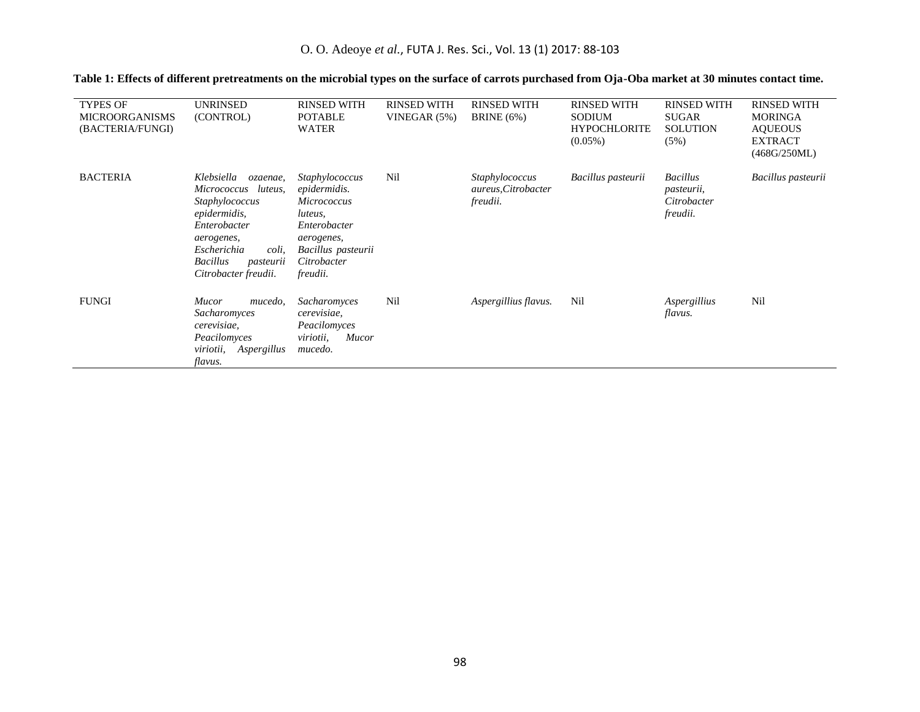| <b>TYPES OF</b><br><b>MICROORGANISMS</b><br>(BACTERIA/FUNGI) | <b>UNRINSED</b><br>(CONTROL)                                                                                                                                                                     | <b>RINSED WITH</b><br><b>POTABLE</b><br><b>WATER</b>                                                                                                  | <b>RINSED WITH</b><br>VINEGAR (5%) | <b>RINSED WITH</b><br><b>BRINE</b> (6%)           | <b>RINSED WITH</b><br><b>SODIUM</b><br><b>HYPOCHLORITE</b><br>$(0.05\%)$ | <b>RINSED WITH</b><br><b>SUGAR</b><br><b>SOLUTION</b><br>(5%) | <b>RINSED WITH</b><br><b>MORINGA</b><br><b>AOUEOUS</b><br><b>EXTRACT</b><br>(468G/250ML) |
|--------------------------------------------------------------|--------------------------------------------------------------------------------------------------------------------------------------------------------------------------------------------------|-------------------------------------------------------------------------------------------------------------------------------------------------------|------------------------------------|---------------------------------------------------|--------------------------------------------------------------------------|---------------------------------------------------------------|------------------------------------------------------------------------------------------|
| <b>BACTERIA</b>                                              | Klebsiella<br>ozaenae,<br>Micrococcus<br>luteus,<br>Staphylococcus<br>epidermidis,<br>Enterobacter<br>aerogenes,<br>Escherichia<br>coli,<br><b>Bacillus</b><br>pasteurii<br>Citrobacter freudii. | Staphylococcus<br>epidermidis.<br><i>Micrococcus</i><br>luteus,<br>Enterobacter<br>aerogenes,<br>Bacillus pasteurii<br>Citrobacter<br><i>freudii.</i> | Nil                                | Staphylococcus<br>aureus, Citrobacter<br>freudii. | Bacillus pasteurii                                                       | <b>Bacillus</b><br>pasteurii,<br>Citrobacter<br>freudii.      | Bacillus pasteurii                                                                       |
| <b>FUNGI</b>                                                 | <b>Mucor</b><br>mucedo,<br>Sacharomyces<br>cerevisiae,<br>Peacilomyces<br>Aspergillus<br><i>viriotii</i> ,<br>flavus.                                                                            | Sacharomyces<br>cerevisiae,<br>Peacilomyces<br>viriotii,<br>Mucor<br>mucedo.                                                                          | Nil                                | Aspergillius flavus.                              | Nil                                                                      | Aspergillius<br>flavus.                                       | Nil                                                                                      |

### **Table 1: Effects of different pretreatments on the microbial types on the surface of carrots purchased from Oja-Oba market at 30 minutes contact time.**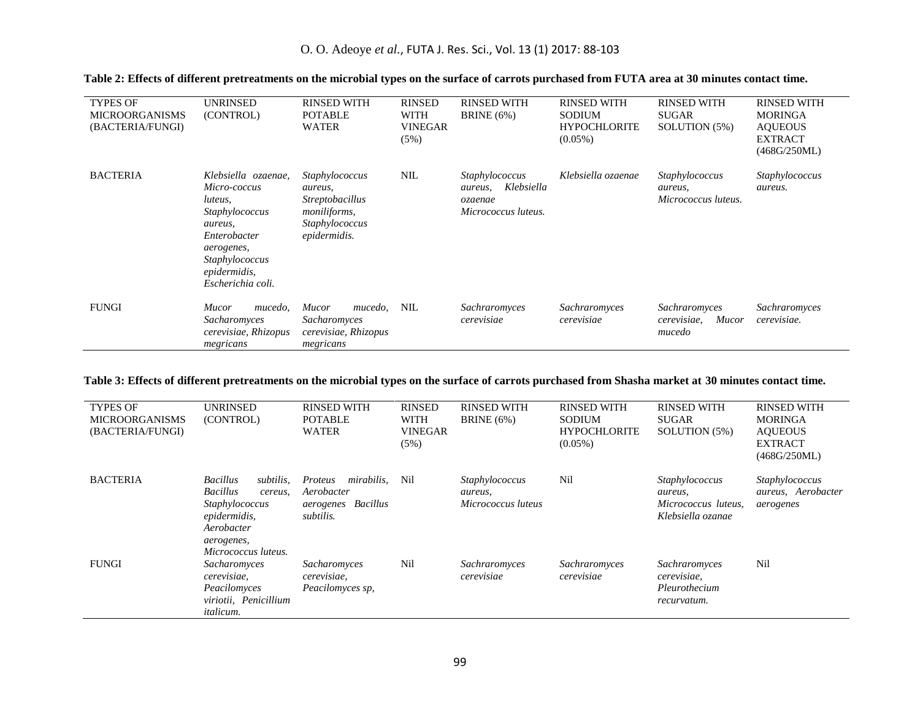| <b>TYPES OF</b><br><b>MICROORGANISMS</b><br>(BACTERIA/FUNGI) | UNRINSED<br>(CONTROL)                                                                                                                                                    | <b>RINSED WITH</b><br><b>POTABLE</b><br><b>WATER</b>                                                  | <b>RINSED</b><br><b>WITH</b><br><b>VINEGAR</b><br>(5%) | <b>RINSED WITH</b><br><b>BRINE</b> (6%)                                   | <b>RINSED WITH</b><br><b>SODIUM</b><br><b>HYPOCHLORITE</b><br>$(0.05\%)$ | <b>RINSED WITH</b><br><b>SUGAR</b><br>SOLUTION (5%) | <b>RINSED WITH</b><br><b>MORINGA</b><br><b>AOUEOUS</b><br><b>EXTRACT</b><br>(468G/250ML) |
|--------------------------------------------------------------|--------------------------------------------------------------------------------------------------------------------------------------------------------------------------|-------------------------------------------------------------------------------------------------------|--------------------------------------------------------|---------------------------------------------------------------------------|--------------------------------------------------------------------------|-----------------------------------------------------|------------------------------------------------------------------------------------------|
| <b>BACTERIA</b>                                              | Klebsiella ozaenae.<br>Micro-coccus<br><i>luteus</i> ,<br>Staphylococcus<br>aureus,<br>Enterobacter<br>aerogenes,<br>Staphylococcus<br>epidermidis,<br>Escherichia coli. | Staphylococcus<br>aureus,<br><i>Streptobacillus</i><br>moniliforms,<br>Staphylococcus<br>epidermidis. | <b>NIL</b>                                             | Staphylococcus<br>Klebsiella<br>aureus,<br>ozaenae<br>Micrococcus luteus. | Klebsiella ozaenae                                                       | Staphylococcus<br>aureus,<br>Micrococcus luteus.    | <i>Staphylococcus</i><br>aureus.                                                         |
| <b>FUNGI</b>                                                 | Mucor<br>mucedo,<br>Sacharomyces<br>cerevisiae, Rhizopus<br>megricans                                                                                                    | <i>Mucor</i><br>mucedo,<br>Sacharomyces<br>cerevisiae, Rhizopus<br>megricans                          | <b>NIL</b>                                             | Sachraromyces<br>cerevisiae                                               | Sachraromyces<br>cerevisiae                                              | Sachraromyces<br>cerevisiae.<br>Mucor<br>mucedo     | Sachraromyces<br>cerevisiae.                                                             |

### **Table 2: Effects of different pretreatments on the microbial types on the surface of carrots purchased from FUTA area at 30 minutes contact time.**

#### **Table 3: Effects of different pretreatments on the microbial types on the surface of carrots purchased from Shasha market at 30 minutes contact time.**

| <b>TYPES OF</b><br><b>MICROORGANISMS</b><br>(BACTERIA/FUNGI) | <b>UNRINSED</b><br>(CONTROL)                                                                                                                    | <b>RINSED WITH</b><br><b>POTABLE</b><br><b>WATER</b>                          | <b>RINSED</b><br><b>WITH</b><br><b>VINEGAR</b><br>(5%) | <b>RINSED WITH</b><br><b>BRINE</b> (6%)         | <b>RINSED WITH</b><br><b>SODIUM</b><br><b>HYPOCHLORITE</b><br>$(0.05\%)$ | <b>RINSED WITH</b><br><b>SUGAR</b><br>SOLUTION (5%)                   | <b>RINSED WITH</b><br><b>MORINGA</b><br><b>AOUEOUS</b><br><b>EXTRACT</b><br>(468G/250ML) |
|--------------------------------------------------------------|-------------------------------------------------------------------------------------------------------------------------------------------------|-------------------------------------------------------------------------------|--------------------------------------------------------|-------------------------------------------------|--------------------------------------------------------------------------|-----------------------------------------------------------------------|------------------------------------------------------------------------------------------|
| <b>BACTERIA</b>                                              | <b>Bacillus</b><br>subtilis.<br><b>Bacillus</b><br>cereus.<br>Staphylococcus<br>epidermidis,<br>Aerobacter<br>aerogenes,<br>Micrococcus luteus. | <i>mirabilis.</i><br>Proteus<br>Aerobacter<br>aerogenes Bacillus<br>subtilis. | Nil                                                    | Staphylococcus<br>aureus,<br>Micrococcus luteus | Nil                                                                      | Staphylococcus<br>aureus,<br>Micrococcus luteus.<br>Klebsiella ozanae | Staphylococcus<br>aureus, Aerobacter<br>aerogenes                                        |
| <b>FUNGI</b>                                                 | Sacharomyces<br>cerevisiae,<br>Peacilomyces<br>viriotii, Penicillium<br><i>italicum.</i>                                                        | Sacharomyces<br>cerevisiae,<br>Peacilomyces sp,                               | Nil                                                    | Sachraromyces<br>cerevisiae                     | Sachraromyces<br>cerevisiae                                              | Sachraromyces<br>cerevisiae,<br>Pleurothecium<br>recurvatum.          | Nil                                                                                      |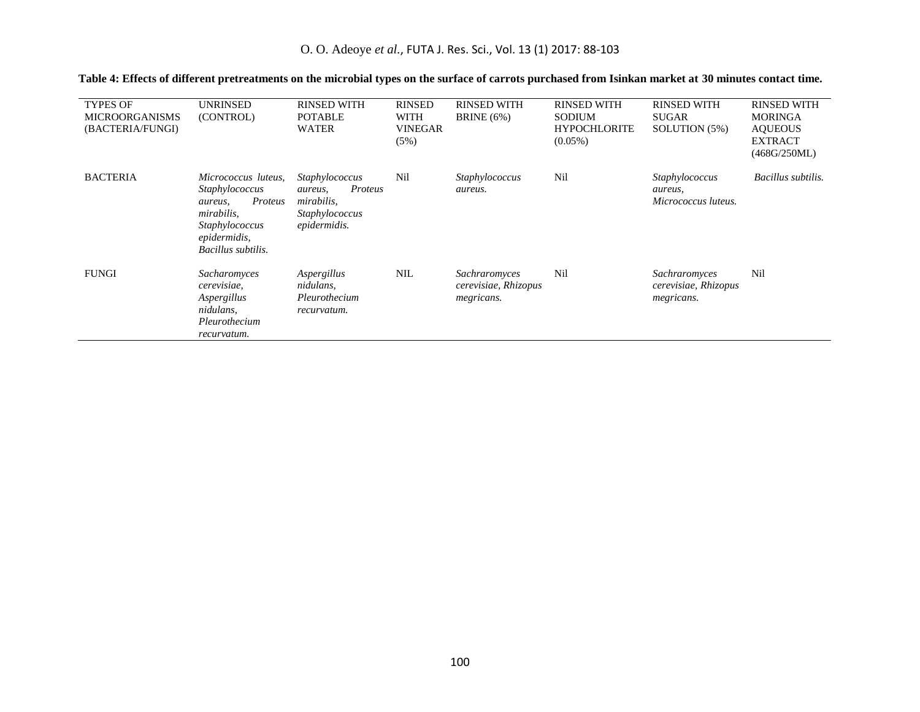| <b>TYPES OF</b><br><b>MICROORGANISMS</b><br>(BACTERIA/FUNGI) | UNRINSED<br>(CONTROL)                                                                                                             | <b>RINSED WITH</b><br><b>POTABLE</b><br><b>WATER</b>                                 | <b>RINSED</b><br><b>WITH</b><br><b>VINEGAR</b><br>(5%) | <b>RINSED WITH</b><br><b>BRINE</b> (6%)             | <b>RINSED WITH</b><br><b>SODIUM</b><br><b>HYPOCHLORITE</b><br>$(0.05\%)$ | <b>RINSED WITH</b><br><b>SUGAR</b><br>SOLUTION (5%) | <b>RINSED WITH</b><br><b>MORINGA</b><br><b>AOUEOUS</b><br><b>EXTRACT</b><br>(468G/250ML) |
|--------------------------------------------------------------|-----------------------------------------------------------------------------------------------------------------------------------|--------------------------------------------------------------------------------------|--------------------------------------------------------|-----------------------------------------------------|--------------------------------------------------------------------------|-----------------------------------------------------|------------------------------------------------------------------------------------------|
| <b>BACTERIA</b>                                              | Micrococcus luteus,<br>Staphylococcus<br>Proteus<br>aureus,<br>mirabilis,<br>Staphylococcus<br>epidermidis,<br>Bacillus subtilis. | Staphylococcus<br>Proteus<br>aureus,<br>mirabilis,<br>Staphylococcus<br>epidermidis. | Nil                                                    | Staphylococcus<br>aureus.                           | Nil                                                                      | Staphylococcus<br>aureus,<br>Micrococcus luteus.    | Bacillus subtilis.                                                                       |
| <b>FUNGI</b>                                                 | Sacharomyces<br>cerevisiae,<br>Aspergillus<br>nidulans.<br>Pleurothecium<br>recurvatum.                                           | Aspergillus<br>nidulans,<br>Pleurothecium<br>recurvatum.                             | <b>NIL</b>                                             | Sachraromyces<br>cerevisiae, Rhizopus<br>megricans. | Nil                                                                      | Sachraromyces<br>cerevisiae, Rhizopus<br>megricans. | Nil                                                                                      |

### **Table 4: Effects of different pretreatments on the microbial types on the surface of carrots purchased from Isinkan market at 30 minutes contact time.**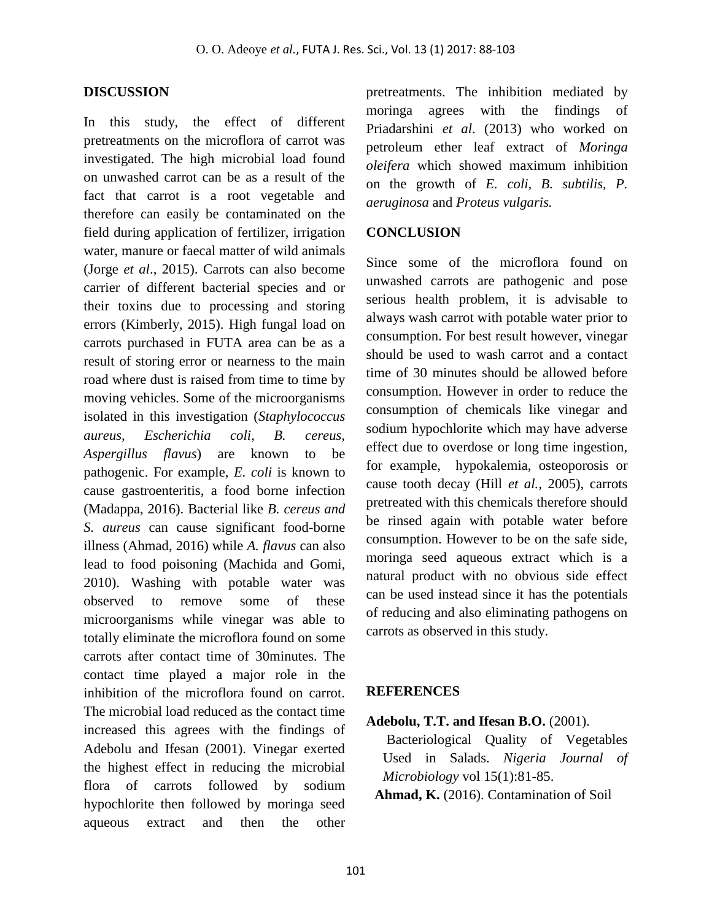### **DISCUSSION**

In this study, the effect of different pretreatments on the microflora of carrot was investigated. The high microbial load found on unwashed carrot can be as a result of the fact that carrot is a root vegetable and therefore can easily be contaminated on the field during application of fertilizer, irrigation water, manure or faecal matter of wild animals (Jorge *et al*., 2015). Carrots can also become carrier of different bacterial species and or their toxins due to processing and storing errors (Kimberly, 2015). High fungal load on carrots purchased in FUTA area can be as a result of storing error or nearness to the main road where dust is raised from time to time by moving vehicles. Some of the microorganisms isolated in this investigation (*Staphylococcus aureus, Escherichia coli, B. cereus, Aspergillus flavus*) are known to be pathogenic. For example, *E. coli* is known to cause gastroenteritis, a food borne infection (Madappa, 2016). Bacterial like *B. cereus and S. aureus* can cause significant food-borne illness (Ahmad, 2016) while *A. flavus* can also lead to food poisoning (Machida and Gomi, 2010). Washing with potable water was observed to remove some of these microorganisms while vinegar was able to totally eliminate the microflora found on some carrots after contact time of 30minutes. The contact time played a major role in the inhibition of the microflora found on carrot. The microbial load reduced as the contact time increased this agrees with the findings of Adebolu and Ifesan (2001). Vinegar exerted the highest effect in reducing the microbial flora of carrots followed by sodium hypochlorite then followed by moringa seed aqueous extract and then the other

pretreatments. The inhibition mediated by moringa agrees with the findings of Priadarshini *et al*. (2013) who worked on petroleum ether leaf extract of *Moringa oleifera* which showed maximum inhibition on the growth of *E. coli, B. subtilis, P. aeruginosa* and *Proteus vulgaris.*

### **CONCLUSION**

Since some of the microflora found on unwashed carrots are pathogenic and pose serious health problem, it is advisable to always wash carrot with potable water prior to consumption. For best result however, vinegar should be used to wash carrot and a contact time of 30 minutes should be allowed before consumption. However in order to reduce the consumption of chemicals like vinegar and sodium hypochlorite which may have adverse effect due to overdose or long time ingestion, for example, hypokalemia, osteoporosis or cause tooth decay (Hill *et al.,* 2005), carrots pretreated with this chemicals therefore should be rinsed again with potable water before consumption. However to be on the safe side, moringa seed aqueous extract which is a natural product with no obvious side effect can be used instead since it has the potentials of reducing and also eliminating pathogens on carrots as observed in this study.

### **REFERENCES**

### **Adebolu, T.T. and Ifesan B.O.** (2001).

Bacteriological Quality of Vegetables Used in Salads. *Nigeria Journal of Microbiology* vol 15(1):81-85.

**Ahmad, K.** (2016). Contamination of Soil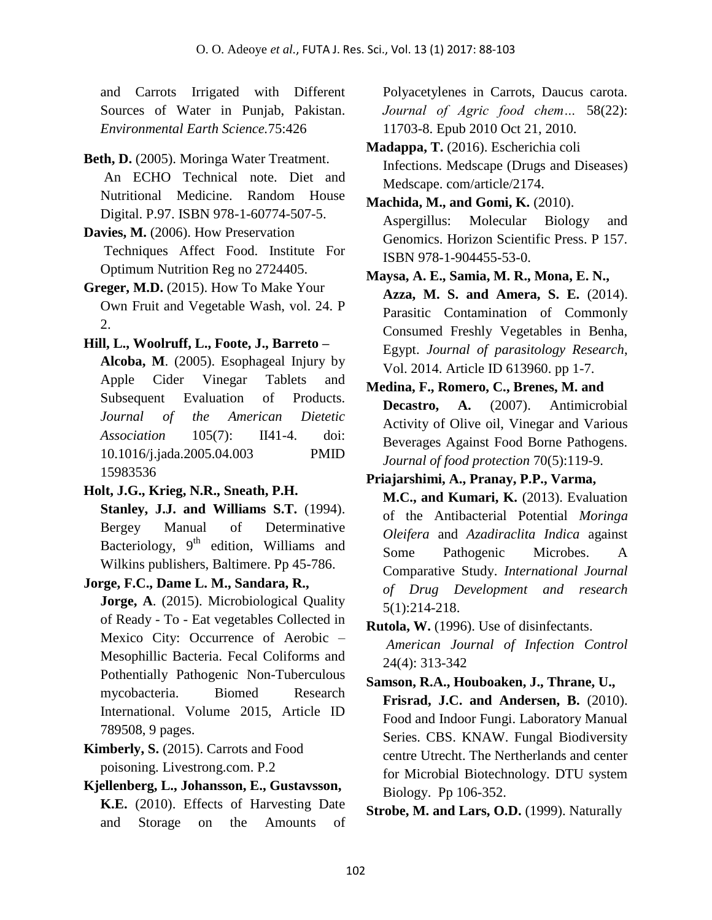and Carrots Irrigated with Different Sources of Water in Punjab, Pakistan. *Environmental Earth Science.*75:426

- **Beth, D.** (2005). Moringa Water Treatment. An ECHO Technical note. Diet and Nutritional Medicine. Random House Digital. P.97. ISBN 978-1-60774-507-5.
- **Davies, M.** (2006). How Preservation Techniques Affect Food. Institute For Optimum Nutrition Reg no 2724405.
- **Greger, M.D.** (2015). How To Make Your Own Fruit and Vegetable Wash, vol. 24. P 2.
- **Hill, L., Woolruff, L., Foote, J., Barreto – Alcoba, M**. (2005). Esophageal Injury by Apple Cider Vinegar Tablets and Subsequent Evaluation of Products. *Journal of the American Dietetic Association* 105(7): II41-4. doi: 10.1016/j.jada.2005.04.003 PMID 15983536
- **Holt, J.G., Krieg, N.R., Sneath, P.H. Stanley, J.J. and Williams S.T.** (1994). Bergey Manual of Determinative Bacteriology,  $9<sup>th</sup>$  edition, Williams and Wilkins publishers, Baltimere. Pp 45-786.
- **Jorge, F.C., Dame L. M., Sandara, R., Jorge, A.** (2015). Microbiological Quality of Ready - To - Eat vegetables Collected in Mexico City: Occurrence of Aerobic – Mesophillic Bacteria. Fecal Coliforms and Pothentially Pathogenic Non-Tuberculous mycobacteria. Biomed Research International. Volume 2015, Article ID 789508, 9 pages.
- **Kimberly, S.** (2015). Carrots and Food poisoning. Livestrong.com. P.2
- **Kjellenberg, L., Johansson, E., Gustavsson, K.E.** (2010). Effects of Harvesting Date and Storage on the Amounts of

Polyacetylenes in Carrots, Daucus carota. *Journal of Agric food chem…* 58(22): 11703-8. Epub 2010 Oct 21, 2010.

- **Madappa, T.** (2016). Escherichia coli Infections. Medscape (Drugs and Diseases) Medscape. com/article/2174.
- **Machida, M., and Gomi, K.** (2010). Aspergillus: Molecular Biology and Genomics. Horizon Scientific Press. P 157. ISBN 978-1-904455-53-0.
- **Maysa, A. E., Samia, M. R., Mona, E. N., Azza, M. S. and Amera, S. E.** (2014). Parasitic Contamination of Commonly Consumed Freshly Vegetables in Benha, Egypt. *Journal of parasitology Research*, Vol. 2014. Article ID 613960. pp 1-7.
- **Medina, F., Romero, C., Brenes, M. and** Decastro, A. (2007). Antimicrobial Activity of Olive oil, Vinegar and Various Beverages Against Food Borne Pathogens. *Journal of food protection* 70(5):119-9.
- **Priajarshimi, A., Pranay, P.P., Varma, M.C., and Kumari, K.** (2013). Evaluation of the Antibacterial Potential *Moringa Oleifera* and *Azadiraclita Indica* against Some Pathogenic Microbes. A Comparative Study. *International Journal of Drug Development and research* 5(1):214-218.
- **Rutola, W.** (1996). Use of disinfectants. *American Journal of Infection Control* 24(4): 313-342
- **Samson, R.A., Houboaken, J., Thrane, U., Frisrad, J.C. and Andersen, B.** (2010). Food and Indoor Fungi. Laboratory Manual Series. CBS. KNAW. Fungal Biodiversity centre Utrecht. The Nertherlands and center for Microbial Biotechnology. DTU system Biology. Pp 106-352.

**Strobe, M. and Lars, O.D.** (1999). Naturally